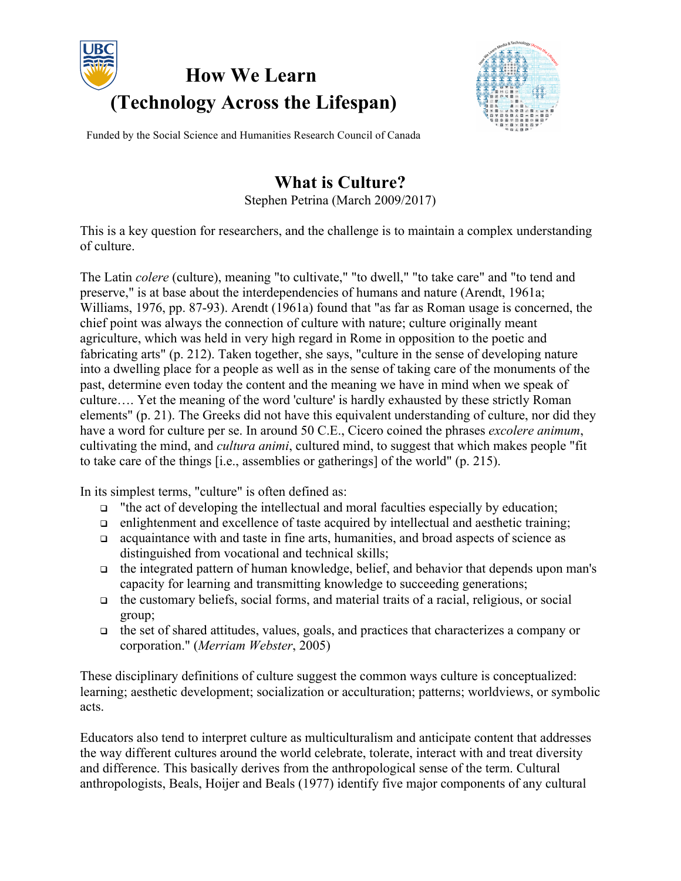



Funded by the Social Science and Humanities Research Council of Canada

## **What is Culture?** Stephen Petrina (March 2009/2017)

This is a key question for researchers, and the challenge is to maintain a complex understanding of culture.

The Latin *colere* (culture), meaning "to cultivate," "to dwell," "to take care" and "to tend and preserve," is at base about the interdependencies of humans and nature (Arendt, 1961a; Williams, 1976, pp. 87-93). Arendt (1961a) found that "as far as Roman usage is concerned, the chief point was always the connection of culture with nature; culture originally meant agriculture, which was held in very high regard in Rome in opposition to the poetic and fabricating arts" (p. 212). Taken together, she says, "culture in the sense of developing nature into a dwelling place for a people as well as in the sense of taking care of the monuments of the past, determine even today the content and the meaning we have in mind when we speak of culture…. Yet the meaning of the word 'culture' is hardly exhausted by these strictly Roman elements" (p. 21). The Greeks did not have this equivalent understanding of culture, nor did they have a word for culture per se. In around 50 C.E., Cicero coined the phrases *excolere animum*, cultivating the mind, and *cultura animi*, cultured mind, to suggest that which makes people "fit to take care of the things [i.e., assemblies or gatherings] of the world" (p. 215).

In its simplest terms, "culture" is often defined as:

- $\Box$  "the act of developing the intellectual and moral faculties especially by education;
- $\Box$  enlightenment and excellence of taste acquired by intellectual and aesthetic training;
- $\Box$  acquaintance with and taste in fine arts, humanities, and broad aspects of science as distinguished from vocational and technical skills;
- <sup>q</sup> the integrated pattern of human knowledge, belief, and behavior that depends upon man's capacity for learning and transmitting knowledge to succeeding generations;
- $\Box$  the customary beliefs, social forms, and material traits of a racial, religious, or social group;
- $\Box$  the set of shared attitudes, values, goals, and practices that characterizes a company or corporation." (*Merriam Webster*, 2005)

These disciplinary definitions of culture suggest the common ways culture is conceptualized: learning; aesthetic development; socialization or acculturation; patterns; worldviews, or symbolic acts.

Educators also tend to interpret culture as multiculturalism and anticipate content that addresses the way different cultures around the world celebrate, tolerate, interact with and treat diversity and difference. This basically derives from the anthropological sense of the term. Cultural anthropologists, Beals, Hoijer and Beals (1977) identify five major components of any cultural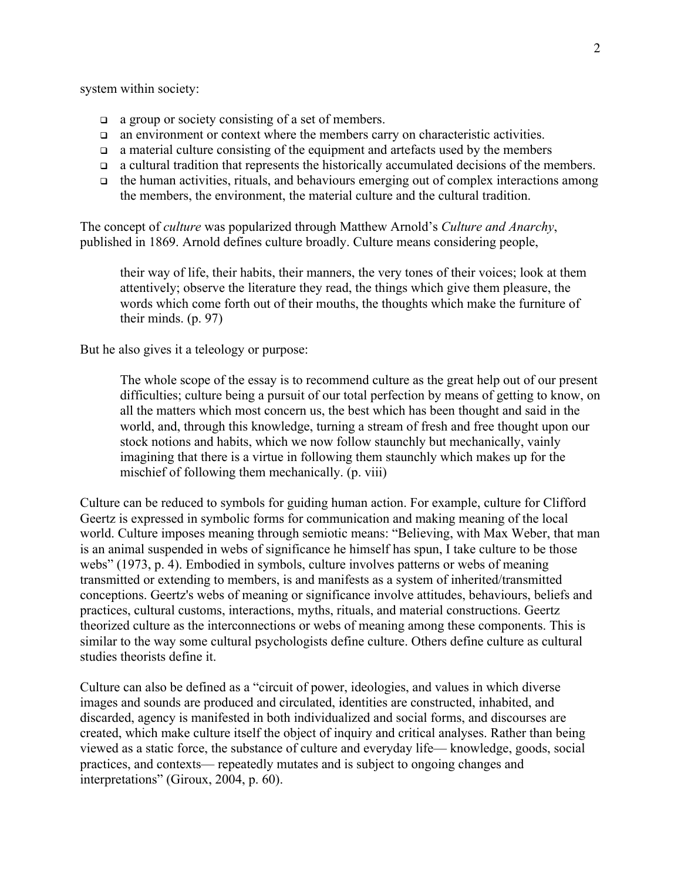system within society:

- $\Box$  a group or society consisting of a set of members.
- <sup>q</sup> an environment or context where the members carry on characteristic activities.
- $\Box$  a material culture consisting of the equipment and artefacts used by the members
- <sup>q</sup> a cultural tradition that represents the historically accumulated decisions of the members.
- $\Box$  the human activities, rituals, and behaviours emerging out of complex interactions among the members, the environment, the material culture and the cultural tradition.

The concept of *culture* was popularized through Matthew Arnold's *Culture and Anarchy*, published in 1869. Arnold defines culture broadly. Culture means considering people,

their way of life, their habits, their manners, the very tones of their voices; look at them attentively; observe the literature they read, the things which give them pleasure, the words which come forth out of their mouths, the thoughts which make the furniture of their minds. (p. 97)

But he also gives it a teleology or purpose:

The whole scope of the essay is to recommend culture as the great help out of our present difficulties; culture being a pursuit of our total perfection by means of getting to know, on all the matters which most concern us, the best which has been thought and said in the world, and, through this knowledge, turning a stream of fresh and free thought upon our stock notions and habits, which we now follow staunchly but mechanically, vainly imagining that there is a virtue in following them staunchly which makes up for the mischief of following them mechanically. (p. viii)

Culture can be reduced to symbols for guiding human action. For example, culture for Clifford Geertz is expressed in symbolic forms for communication and making meaning of the local world. Culture imposes meaning through semiotic means: "Believing, with Max Weber, that man is an animal suspended in webs of significance he himself has spun, I take culture to be those webs" (1973, p. 4). Embodied in symbols, culture involves patterns or webs of meaning transmitted or extending to members, is and manifests as a system of inherited/transmitted conceptions. Geertz's webs of meaning or significance involve attitudes, behaviours, beliefs and practices, cultural customs, interactions, myths, rituals, and material constructions. Geertz theorized culture as the interconnections or webs of meaning among these components. This is similar to the way some cultural psychologists define culture. Others define culture as cultural studies theorists define it.

Culture can also be defined as a "circuit of power, ideologies, and values in which diverse images and sounds are produced and circulated, identities are constructed, inhabited, and discarded, agency is manifested in both individualized and social forms, and discourses are created, which make culture itself the object of inquiry and critical analyses. Rather than being viewed as a static force, the substance of culture and everyday life— knowledge, goods, social practices, and contexts— repeatedly mutates and is subject to ongoing changes and interpretations" (Giroux, 2004, p. 60).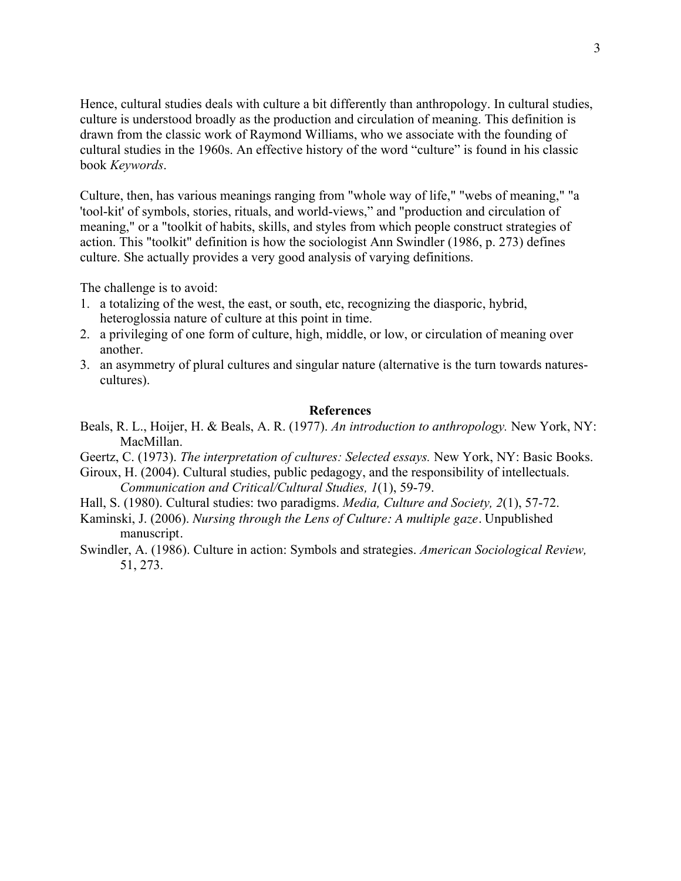Hence, cultural studies deals with culture a bit differently than anthropology. In cultural studies, culture is understood broadly as the production and circulation of meaning. This definition is drawn from the classic work of Raymond Williams, who we associate with the founding of cultural studies in the 1960s. An effective history of the word "culture" is found in his classic book *Keywords*.

Culture, then, has various meanings ranging from "whole way of life," "webs of meaning," "a 'tool-kit' of symbols, stories, rituals, and world-views," and "production and circulation of meaning," or a "toolkit of habits, skills, and styles from which people construct strategies of action. This "toolkit" definition is how the sociologist Ann Swindler (1986, p. 273) defines culture. She actually provides a very good analysis of varying definitions.

The challenge is to avoid:

- 1. a totalizing of the west, the east, or south, etc, recognizing the diasporic, hybrid, heteroglossia nature of culture at this point in time.
- 2. a privileging of one form of culture, high, middle, or low, or circulation of meaning over another.
- 3. an asymmetry of plural cultures and singular nature (alternative is the turn towards naturescultures).

## **References**

- Beals, R. L., Hoijer, H. & Beals, A. R. (1977). *An introduction to anthropology.* New York, NY: MacMillan.
- Geertz, C. (1973). *The interpretation of cultures: Selected essays.* New York, NY: Basic Books.
- Giroux, H. (2004). Cultural studies, public pedagogy, and the responsibility of intellectuals. *Communication and Critical/Cultural Studies, 1*(1), 59-79.
- Hall, S. (1980). Cultural studies: two paradigms. *Media, Culture and Society, 2*(1), 57-72.
- Kaminski, J. (2006). *Nursing through the Lens of Culture: A multiple gaze*. Unpublished manuscript.
- Swindler, A. (1986). Culture in action: Symbols and strategies. *American Sociological Review,* 51, 273.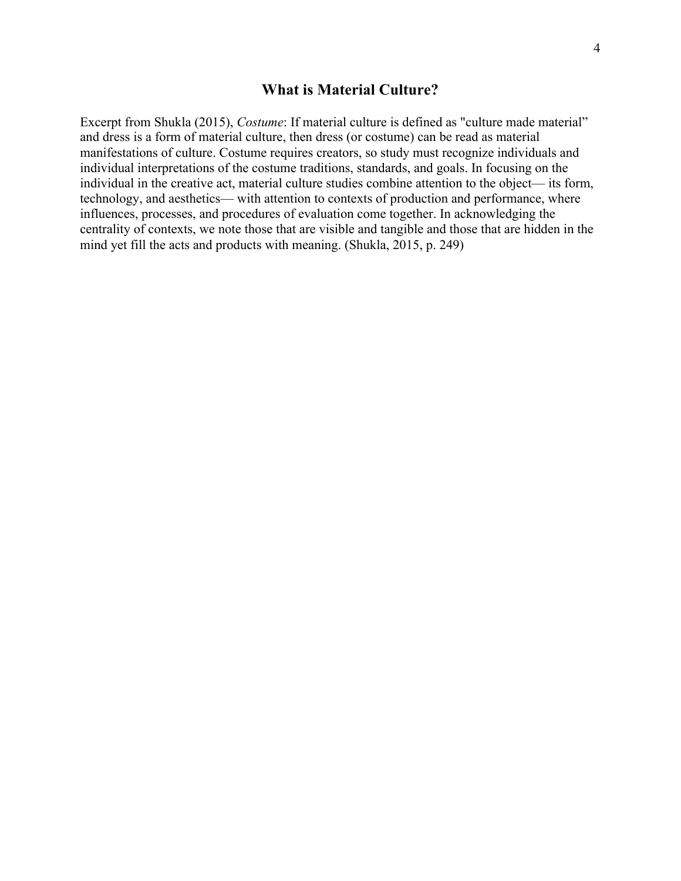Excerpt from Shukla (2015), *Costume*: If material culture is defined as "culture made material" and dress is a form of material culture, then dress (or costume) can be read as material manifestations of culture. Costume requires creators, so study must recognize individuals and individual interpretations of the costume traditions, standards, and goals. In focusing on the individual in the creative act, material culture studies combine attention to the object— its form, technology, and aesthetics— with attention to contexts of production and performance, where influences, processes, and procedures of evaluation come together. In acknowledging the centrality of contexts, we note those that are visible and tangible and those that are hidden in the mind yet fill the acts and products with meaning. (Shukla, 2015, p. 249)